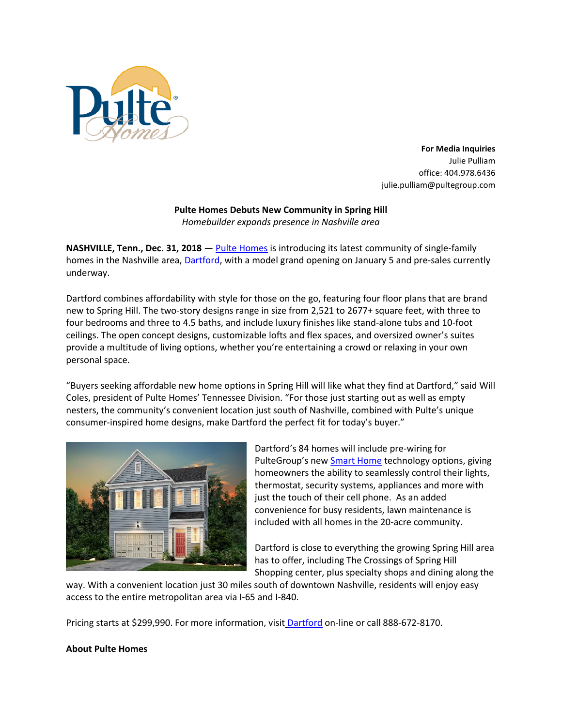

**For Media Inquiries** Julie Pulliam office: 404.978.6436 julie.pulliam@pultegroup.com

## **Pulte Homes Debuts New Community in Spring Hill**

*Homebuilder expands presence in Nashville area*

**NASHVILLE, Tenn., Dec. 31, 2018** — [Pulte Homes](https://www.pulte.com/) is introducing its latest community of single-family homes in the Nashville area, [Dartford,](https://www.pulte.com/homes/tennessee/nashville/spring-hill/dartford-210111) with a model grand opening on January 5 and pre-sales currently underway.

Dartford combines affordability with style for those on the go, featuring four floor plans that are brand new to Spring Hill. The two-story designs range in size from 2,521 to 2677+ square feet, with three to four bedrooms and three to 4.5 baths, and include luxury finishes like stand-alone tubs and 10-foot ceilings. The open concept designs, customizable lofts and flex spaces, and oversized owner's suites provide a multitude of living options, whether you're entertaining a crowd or relaxing in your own personal space.

"Buyers seeking affordable new home options in Spring Hill will like what they find at Dartford," said Will Coles, president of Pulte Homes' Tennessee Division. "For those just starting out as well as empty nesters, the community's convenient location just south of Nashville, combined with Pulte's unique consumer-inspired home designs, make Dartford the perfect fit for today's buyer."



Dartford's 84 homes will include pre-wiring for PulteGroup's new [Smart Home](https://www.pulte.com/pulte-smart-home) technology options, giving homeowners the ability to seamlessly control their lights, thermostat, security systems, appliances and more with just the touch of their cell phone. As an added convenience for busy residents, lawn maintenance is included with all homes in the 20-acre community.

Dartford is close to everything the growing Spring Hill area has to offer, including The Crossings of Spring Hill Shopping center, plus specialty shops and dining along the

way. With a convenient location just 30 miles south of downtown Nashville, residents will enjoy easy access to the entire metropolitan area via I-65 and I-840.

Pricing starts at \$299,990. For more information, visit **[Dartford](https://www.pulte.com/homes/tennessee/nashville/spring-hill/dartford-210111) on-line or call 888-672-8170.** 

## **About Pulte Homes**